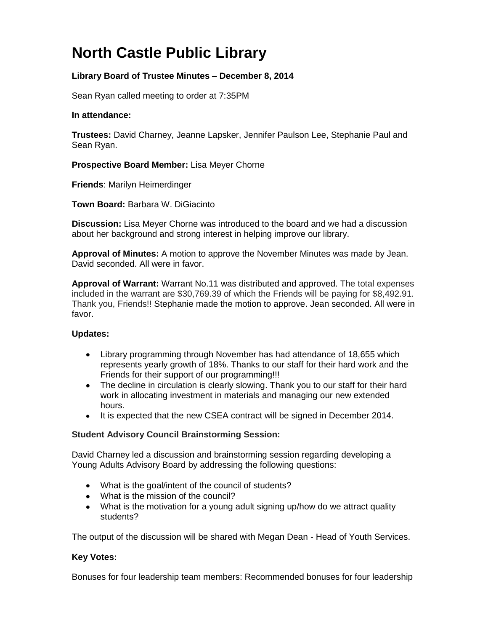# **North Castle Public Library**

## **Library Board of Trustee Minutes – December 8, 2014**

Sean Ryan called meeting to order at 7:35PM

## **In attendance:**

**Trustees:** David Charney, Jeanne Lapsker, Jennifer Paulson Lee, Stephanie Paul and Sean Ryan.

**Prospective Board Member:** Lisa Meyer Chorne

**Friends**: Marilyn Heimerdinger

**Town Board:** [Barbara W. DiGiacinto](http://www.northcastleny.com/users/bdigiacinto/contact)

**Discussion:** Lisa Meyer Chorne was introduced to the board and we had a discussion about her background and strong interest in helping improve our library.

**Approval of Minutes:** A motion to approve the November Minutes was made by Jean. David seconded. All were in favor.

**Approval of Warrant:** Warrant No.11 was distributed and approved. The total expenses included in the warrant are \$30,769.39 of which the Friends will be paying for \$8,492.91. Thank you, Friends!! Stephanie made the motion to approve. Jean seconded. All were in favor.

## **Updates:**

- Library programming through November has had attendance of 18,655 which represents yearly growth of 18%. Thanks to our staff for their hard work and the Friends for their support of our programming!!!
- The decline in circulation is clearly slowing. Thank you to our staff for their hard work in allocating investment in materials and managing our new extended hours.
- It is expected that the new CSEA contract will be signed in December 2014.

### **Student Advisory Council Brainstorming Session:**

David Charney led a discussion and brainstorming session regarding developing a Young Adults Advisory Board by addressing the following questions:

- What is the goal/intent of the council of students?
- What is the mission of the council?
- What is the motivation for a young adult signing up/how do we attract quality students?

The output of the discussion will be shared with Megan Dean - Head of Youth Services.

### **Key Votes:**

Bonuses for four leadership team members: Recommended bonuses for four leadership